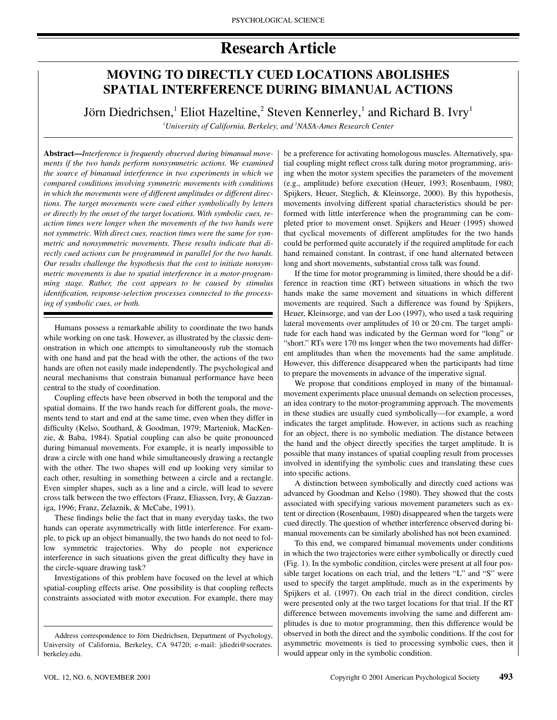# **Research Article**

# **MOVING TO DIRECTLY CUED LOCATIONS ABOLISHES SPATIAL INTERFERENCE DURING BIMANUAL ACTIONS**

Jörn Diedrichsen,<sup>1</sup> Eliot Hazeltine,<sup>2</sup> Steven Kennerley,<sup>1</sup> and Richard B. Ivry<sup>1</sup> *1 University of California, Berkeley, and 2 NASA-Ames Research Center*

**Abstract—***Interference is frequently observed during bimanual movements if the two hands perform nonsymmetric actions. We examined the source of bimanual interference in two experiments in which we compared conditions involving symmetric movements with conditions in which the movements were of different amplitudes or different directions. The target movements were cued either symbolically by letters or directly by the onset of the target locations. With symbolic cues, reaction times were longer when the movements of the two hands were not symmetric. With direct cues, reaction times were the same for symmetric and nonsymmetric movements. These results indicate that directly cued actions can be programmed in parallel for the two hands. Our results challenge the hypothesis that the cost to initiate nonsymmetric movements is due to spatial interference in a motor-programming stage. Rather, the cost appears to be caused by stimulus identification, response-selection processes connected to the processing of symbolic cues, or both.*

Humans possess a remarkable ability to coordinate the two hands while working on one task. However, as illustrated by the classic demonstration in which one attempts to simultaneously rub the stomach with one hand and pat the head with the other, the actions of the two hands are often not easily made independently. The psychological and neural mechanisms that constrain bimanual performance have been central to the study of coordination.

Coupling effects have been observed in both the temporal and the spatial domains. If the two hands reach for different goals, the movements tend to start and end at the same time, even when they differ in difficulty (Kelso, Southard, & Goodman, 1979; Marteniuk, MacKenzie, & Baba, 1984). Spatial coupling can also be quite pronounced during bimanual movements. For example, it is nearly impossible to draw a circle with one hand while simultaneously drawing a rectangle with the other. The two shapes will end up looking very similar to each other, resulting in something between a circle and a rectangle. Even simpler shapes, such as a line and a circle, will lead to severe cross talk between the two effectors (Franz, Eliassen, Ivry, & Gazzaniga, 1996; Franz, Zelaznik, & McCabe, 1991).

These findings belie the fact that in many everyday tasks, the two hands can operate asymmetrically with little interference. For example, to pick up an object bimanually, the two hands do not need to follow symmetric trajectories. Why do people not experience interference in such situations given the great difficulty they have in the circle-square drawing task?

Investigations of this problem have focused on the level at which spatial-coupling effects arise. One possibility is that coupling reflects constraints associated with motor execution. For example, there may

be a preference for activating homologous muscles. Alternatively, spatial coupling might reflect cross talk during motor programming, arising when the motor system specifies the parameters of the movement (e.g., amplitude) before execution (Heuer, 1993; Rosenbaum, 1980; Spijkers, Heuer, Steglich, & Kleinsorge, 2000). By this hypothesis, movements involving different spatial characteristics should be performed with little interference when the programming can be completed prior to movement onset. Spijkers and Heuer (1995) showed that cyclical movements of different amplitudes for the two hands could be performed quite accurately if the required amplitude for each hand remained constant. In contrast, if one hand alternated between long and short movements, substantial cross talk was found.

If the time for motor programming is limited, there should be a difference in reaction time (RT) between situations in which the two hands make the same movement and situations in which different movements are required. Such a difference was found by Spijkers, Heuer, Kleinsorge, and van der Loo (1997), who used a task requiring lateral movements over amplitudes of 10 or 20 cm. The target amplitude for each hand was indicated by the German word for "long" or "short." RTs were 170 ms longer when the two movements had different amplitudes than when the movements had the same amplitude. However, this difference disappeared when the participants had time to prepare the movements in advance of the imperative signal.

We propose that conditions employed in many of the bimanualmovement experiments place unusual demands on selection processes, an idea contrary to the motor-programming approach. The movements in these studies are usually cued symbolically—for example, a word indicates the target amplitude. However, in actions such as reaching for an object, there is no symbolic mediation. The distance between the hand and the object directly specifies the target amplitude. It is possible that many instances of spatial coupling result from processes involved in identifying the symbolic cues and translating these cues into specific actions.

A distinction between symbolically and directly cued actions was advanced by Goodman and Kelso (1980). They showed that the costs associated with specifying various movement parameters such as extent or direction (Rosenbaum, 1980) disappeared when the targets were cued directly. The question of whether interference observed during bimanual movements can be similarly abolished has not been examined.

To this end, we compared bimanual movements under conditions in which the two trajectories were either symbolically or directly cued (Fig. 1). In the symbolic condition, circles were present at all four possible target locations on each trial, and the letters "L" and "S" were used to specify the target amplitude, much as in the experiments by Spijkers et al. (1997). On each trial in the direct condition, circles were presented only at the two target locations for that trial. If the RT difference between movements involving the same and different amplitudes is due to motor programming, then this difference would be observed in both the direct and the symbolic conditions. If the cost for asymmetric movements is tied to processing symbolic cues, then it would appear only in the symbolic condition.

Address correspondence to Jörn Diedrichsen, Department of Psychology, University of California, Berkeley, CA 94720; e-mail: jdiedri@socrates. berkeley.edu.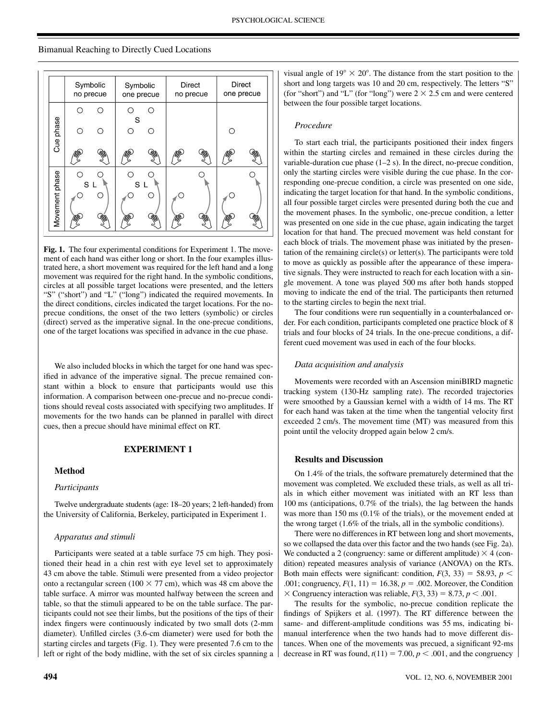#### Bimanual Reaching to Directly Cued Locations



**Fig. 1.** The four experimental conditions for Experiment 1. The movement of each hand was either long or short. In the four examples illustrated here, a short movement was required for the left hand and a long movement was required for the right hand. In the symbolic conditions, circles at all possible target locations were presented, and the letters "S" ("short") and "L" ("long") indicated the required movements. In the direct conditions, circles indicated the target locations. For the noprecue conditions, the onset of the two letters (symbolic) or circles (direct) served as the imperative signal. In the one-precue conditions, one of the target locations was specified in advance in the cue phase.

We also included blocks in which the target for one hand was specified in advance of the imperative signal. The precue remained constant within a block to ensure that participants would use this information. A comparison between one-precue and no-precue conditions should reveal costs associated with specifying two amplitudes. If movements for the two hands can be planned in parallel with direct cues, then a precue should have minimal effect on RT.

# **EXPERIMENT 1**

### **Method**

#### *Participants*

Twelve undergraduate students (age: 18–20 years; 2 left-handed) from the University of California, Berkeley, participated in Experiment 1.

#### *Apparatus and stimuli*

Participants were seated at a table surface 75 cm high. They positioned their head in a chin rest with eye level set to approximately 43 cm above the table. Stimuli were presented from a video projector onto a rectangular screen ( $100 \times 77$  cm), which was 48 cm above the table surface. A mirror was mounted halfway between the screen and table, so that the stimuli appeared to be on the table surface. The participants could not see their limbs, but the positions of the tips of their index fingers were continuously indicated by two small dots (2-mm diameter). Unfilled circles (3.6-cm diameter) were used for both the starting circles and targets (Fig. 1). They were presented 7.6 cm to the left or right of the body midline, with the set of six circles spanning a

short and long targets was 10 and 20 cm, respectively. The letters "S" (for "short") and "L" (for "long") were  $2 \times 2.5$  cm and were centered between the four possible target locations.

# *Procedure*

To start each trial, the participants positioned their index fingers within the starting circles and remained in these circles during the variable-duration cue phase (1–2 s). In the direct, no-precue condition, only the starting circles were visible during the cue phase. In the corresponding one-precue condition, a circle was presented on one side, indicating the target location for that hand. In the symbolic conditions, all four possible target circles were presented during both the cue and the movement phases. In the symbolic, one-precue condition, a letter was presented on one side in the cue phase, again indicating the target location for that hand. The precued movement was held constant for each block of trials. The movement phase was initiated by the presentation of the remaining circle(s) or letter(s). The participants were told to move as quickly as possible after the appearance of these imperative signals. They were instructed to reach for each location with a single movement. A tone was played 500 ms after both hands stopped moving to indicate the end of the trial. The participants then returned to the starting circles to begin the next trial.

visual angle of  $19^{\circ} \times 20^{\circ}$ . The distance from the start position to the

The four conditions were run sequentially in a counterbalanced order. For each condition, participants completed one practice block of 8 trials and four blocks of 24 trials. In the one-precue conditions, a different cued movement was used in each of the four blocks.

# *Data acquisition and analysis*

Movements were recorded with an Ascension miniBIRD magnetic tracking system (130-Hz sampling rate). The recorded trajectories were smoothed by a Gaussian kernel with a width of 14 ms. The RT for each hand was taken at the time when the tangential velocity first exceeded 2 cm/s. The movement time (MT) was measured from this point until the velocity dropped again below 2 cm/s.

# **Results and Discussion**

On 1.4% of the trials, the software prematurely determined that the movement was completed. We excluded these trials, as well as all trials in which either movement was initiated with an RT less than 100 ms (anticipations, 0.7% of the trials), the lag between the hands was more than 150 ms (0.1% of the trials), or the movement ended at the wrong target (1.6% of the trials, all in the symbolic conditions).

There were no differences in RT between long and short movements, so we collapsed the data over this factor and the two hands (see Fig. 2a). We conducted a 2 (congruency: same or different amplitude)  $\times$  4 (condition) repeated measures analysis of variance (ANOVA) on the RTs. Both main effects were significant: condition,  $F(3, 33) = 58.93$ ,  $p <$ .001; congruency,  $F(1, 11) = 16.38$ ,  $p = .002$ . Moreover, the Condition  $\times$  Congruency interaction was reliable,  $F(3, 33) = 8.73, p < .001$ .

The results for the symbolic, no-precue condition replicate the findings of Spijkers et al. (1997). The RT difference between the same- and different-amplitude conditions was 55 ms, indicating bimanual interference when the two hands had to move different distances. When one of the movements was precued, a significant 92-ms decrease in RT was found,  $t(11) = 7.00, p < .001$ , and the congruency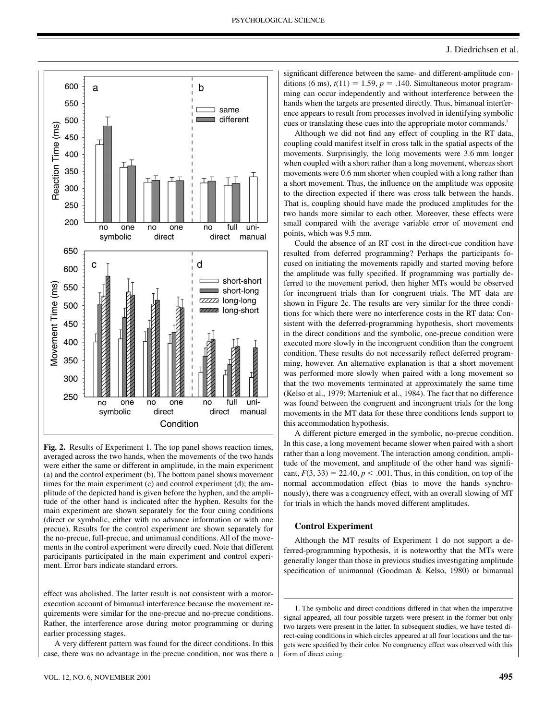

**Fig. 2.** Results of Experiment 1. The top panel shows reaction times, averaged across the two hands, when the movements of the two hands were either the same or different in amplitude, in the main experiment (a) and the control experiment (b). The bottom panel shows movement times for the main experiment (c) and control experiment (d); the amplitude of the depicted hand is given before the hyphen, and the amplitude of the other hand is indicated after the hyphen. Results for the main experiment are shown separately for the four cuing conditions (direct or symbolic, either with no advance information or with one precue). Results for the control experiment are shown separately for the no-precue, full-precue, and unimanual conditions. All of the movements in the control experiment were directly cued. Note that different participants participated in the main experiment and control experiment. Error bars indicate standard errors.

effect was abolished. The latter result is not consistent with a motorexecution account of bimanual interference because the movement requirements were similar for the one-precue and no-precue conditions. Rather, the interference arose during motor programming or during earlier processing stages.

A very different pattern was found for the direct conditions. In this case, there was no advantage in the precue condition, nor was there a

significant difference between the same- and different-amplitude conditions (6 ms),  $t(11) = 1.59$ ,  $p = .140$ . Simultaneous motor programming can occur independently and without interference between the hands when the targets are presented directly. Thus, bimanual interference appears to result from processes involved in identifying symbolic cues or translating these cues into the appropriate motor commands.<sup>1</sup>

Although we did not find any effect of coupling in the RT data, coupling could manifest itself in cross talk in the spatial aspects of the movements. Surprisingly, the long movements were 3.6 mm longer when coupled with a short rather than a long movement, whereas short movements were 0.6 mm shorter when coupled with a long rather than a short movement. Thus, the influence on the amplitude was opposite to the direction expected if there was cross talk between the hands. That is, coupling should have made the produced amplitudes for the two hands more similar to each other. Moreover, these effects were small compared with the average variable error of movement end points, which was 9.5 mm.

Could the absence of an RT cost in the direct-cue condition have resulted from deferred programming? Perhaps the participants focused on initiating the movements rapidly and started moving before the amplitude was fully specified. If programming was partially deferred to the movement period, then higher MTs would be observed for incongruent trials than for congruent trials. The MT data are shown in Figure 2c. The results are very similar for the three conditions for which there were no interference costs in the RT data: Consistent with the deferred-programming hypothesis, short movements in the direct conditions and the symbolic, one-precue condition were executed more slowly in the incongruent condition than the congruent condition. These results do not necessarily reflect deferred programming, however. An alternative explanation is that a short movement was performed more slowly when paired with a long movement so that the two movements terminated at approximately the same time (Kelso et al., 1979; Marteniuk et al., 1984). The fact that no difference was found between the congruent and incongruent trials for the long movements in the MT data for these three conditions lends support to this accommodation hypothesis.

A different picture emerged in the symbolic, no-precue condition. In this case, a long movement became slower when paired with a short rather than a long movement. The interaction among condition, amplitude of the movement, and amplitude of the other hand was significant,  $F(3, 33) = 22.40, p < .001$ . Thus, in this condition, on top of the normal accommodation effect (bias to move the hands synchronously), there was a congruency effect, with an overall slowing of MT for trials in which the hands moved different amplitudes.

### **Control Experiment**

Although the MT results of Experiment 1 do not support a deferred-programming hypothesis, it is noteworthy that the MTs were generally longer than those in previous studies investigating amplitude specification of unimanual (Goodman & Kelso, 1980) or bimanual

<sup>1.</sup> The symbolic and direct conditions differed in that when the imperative signal appeared, all four possible targets were present in the former but only two targets were present in the latter. In subsequent studies, we have tested direct-cuing conditions in which circles appeared at all four locations and the targets were specified by their color. No congruency effect was observed with this form of direct cuing.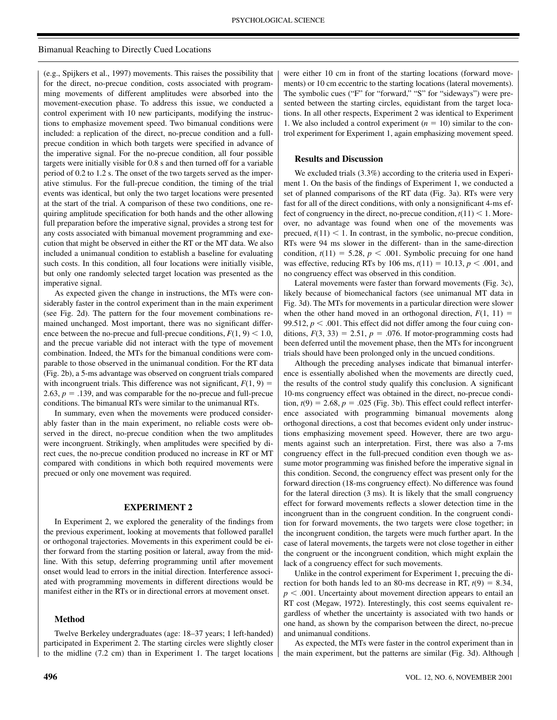#### Bimanual Reaching to Directly Cued Locations

(e.g., Spijkers et al., 1997) movements. This raises the possibility that for the direct, no-precue condition, costs associated with programming movements of different amplitudes were absorbed into the movement-execution phase. To address this issue, we conducted a control experiment with 10 new participants, modifying the instructions to emphasize movement speed. Two bimanual conditions were included: a replication of the direct, no-precue condition and a fullprecue condition in which both targets were specified in advance of the imperative signal. For the no-precue condition, all four possible targets were initially visible for 0.8 s and then turned off for a variable period of 0.2 to 1.2 s. The onset of the two targets served as the imperative stimulus. For the full-precue condition, the timing of the trial events was identical, but only the two target locations were presented at the start of the trial. A comparison of these two conditions, one requiring amplitude specification for both hands and the other allowing full preparation before the imperative signal, provides a strong test for any costs associated with bimanual movement programming and execution that might be observed in either the RT or the MT data. We also included a unimanual condition to establish a baseline for evaluating such costs. In this condition, all four locations were initially visible, but only one randomly selected target location was presented as the imperative signal.

As expected given the change in instructions, the MTs were considerably faster in the control experiment than in the main experiment (see Fig. 2d). The pattern for the four movement combinations remained unchanged. Most important, there was no significant difference between the no-precue and full-precue conditions,  $F(1, 9) < 1.0$ , and the precue variable did not interact with the type of movement combination. Indeed, the MTs for the bimanual conditions were comparable to those observed in the unimanual condition. For the RT data (Fig. 2b), a 5-ms advantage was observed on congruent trials compared with incongruent trials. This difference was not significant,  $F(1, 9) =$ 2.63,  $p = .139$ , and was comparable for the no-precue and full-precue conditions. The bimanual RTs were similar to the unimanual RTs.

In summary, even when the movements were produced considerably faster than in the main experiment, no reliable costs were observed in the direct, no-precue condition when the two amplitudes were incongruent. Strikingly, when amplitudes were specified by direct cues, the no-precue condition produced no increase in RT or MT compared with conditions in which both required movements were precued or only one movement was required.

#### **EXPERIMENT 2**

In Experiment 2, we explored the generality of the findings from the previous experiment, looking at movements that followed parallel or orthogonal trajectories. Movements in this experiment could be either forward from the starting position or lateral, away from the midline. With this setup, deferring programming until after movement onset would lead to errors in the initial direction. Interference associated with programming movements in different directions would be manifest either in the RTs or in directional errors at movement onset.

#### **Method**

Twelve Berkeley undergraduates (age: 18–37 years; 1 left-handed) participated in Experiment 2. The starting circles were slightly closer to the midline (7.2 cm) than in Experiment 1. The target locations

were either 10 cm in front of the starting locations (forward movements) or 10 cm eccentric to the starting locations (lateral movements). The symbolic cues ("F" for "forward," "S" for "sideways") were presented between the starting circles, equidistant from the target locations. In all other respects, Experiment 2 was identical to Experiment 1. We also included a control experiment  $(n = 10)$  similar to the control experiment for Experiment 1, again emphasizing movement speed.

#### **Results and Discussion**

We excluded trials (3.3%) according to the criteria used in Experiment 1. On the basis of the findings of Experiment 1, we conducted a set of planned comparisons of the RT data (Fig. 3a). RTs were very fast for all of the direct conditions, with only a nonsignificant 4-ms effect of congruency in the direct, no-precue condition,  $t(11) < 1$ . Moreover, no advantage was found when one of the movements was precued,  $t(11)$  < 1. In contrast, in the symbolic, no-precue condition, RTs were 94 ms slower in the different- than in the same-direction condition,  $t(11) = 5.28$ ,  $p < .001$ . Symbolic precuing for one hand was effective, reducing RTs by 106 ms,  $t(11) = 10.13$ ,  $p < .001$ , and no congruency effect was observed in this condition.

Lateral movements were faster than forward movements (Fig. 3c), likely because of biomechanical factors (see unimanual MT data in Fig. 3d). The MTs for movements in a particular direction were slower when the other hand moved in an orthogonal direction,  $F(1, 11) =$ 99.512,  $p < .001$ . This effect did not differ among the four cuing conditions,  $F(3, 33) = 2.51$ ,  $p = .076$ . If motor-programming costs had been deferred until the movement phase, then the MTs for incongruent trials should have been prolonged only in the uncued conditions.

Although the preceding analyses indicate that bimanual interference is essentially abolished when the movements are directly cued, the results of the control study qualify this conclusion. A significant 10-ms congruency effect was obtained in the direct, no-precue condition,  $t(9) = 2.68$ ,  $p = .025$  (Fig. 3b). This effect could reflect interference associated with programming bimanual movements along orthogonal directions, a cost that becomes evident only under instructions emphasizing movement speed. However, there are two arguments against such an interpretation. First, there was also a 7-ms congruency effect in the full-precued condition even though we assume motor programming was finished before the imperative signal in this condition. Second, the congruency effect was present only for the forward direction (18-ms congruency effect). No difference was found for the lateral direction (3 ms). It is likely that the small congruency effect for forward movements reflects a slower detection time in the incongruent than in the congruent condition. In the congruent condition for forward movements, the two targets were close together; in the incongruent condition, the targets were much further apart. In the case of lateral movements, the targets were not close together in either the congruent or the incongruent condition, which might explain the lack of a congruency effect for such movements.

Unlike in the control experiment for Experiment 1, precuing the direction for both hands led to an 80-ms decrease in RT,  $t(9) = 8.34$ ,  $p < .001$ . Uncertainty about movement direction appears to entail an RT cost (Megaw, 1972). Interestingly, this cost seems equivalent regardless of whether the uncertainty is associated with two hands or one hand, as shown by the comparison between the direct, no-precue and unimanual conditions.

As expected, the MTs were faster in the control experiment than in the main experiment, but the patterns are similar (Fig. 3d). Although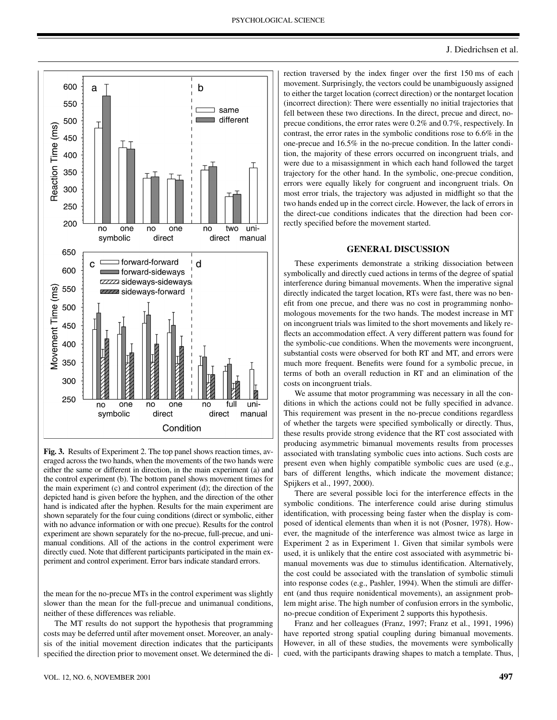

**Fig. 3.** Results of Experiment 2. The top panel shows reaction times, averaged across the two hands, when the movements of the two hands were either the same or different in direction, in the main experiment (a) and the control experiment (b). The bottom panel shows movement times for the main experiment (c) and control experiment (d); the direction of the depicted hand is given before the hyphen, and the direction of the other hand is indicated after the hyphen. Results for the main experiment are shown separately for the four cuing conditions (direct or symbolic, either with no advance information or with one precue). Results for the control experiment are shown separately for the no-precue, full-precue, and unimanual conditions. All of the actions in the control experiment were directly cued. Note that different participants participated in the main experiment and control experiment. Error bars indicate standard errors.

the mean for the no-precue MTs in the control experiment was slightly slower than the mean for the full-precue and unimanual conditions, neither of these differences was reliable.

The MT results do not support the hypothesis that programming costs may be deferred until after movement onset. Moreover, an analysis of the initial movement direction indicates that the participants specified the direction prior to movement onset. We determined the di-

rection traversed by the index finger over the first 150 ms of each movement. Surprisingly, the vectors could be unambiguously assigned to either the target location (correct direction) or the nontarget location (incorrect direction): There were essentially no initial trajectories that fell between these two directions. In the direct, precue and direct, noprecue conditions, the error rates were 0.2% and 0.7%, respectively. In contrast, the error rates in the symbolic conditions rose to 6.6% in the one-precue and 16.5% in the no-precue condition. In the latter condition, the majority of these errors occurred on incongruent trials, and were due to a misassignment in which each hand followed the target trajectory for the other hand. In the symbolic, one-precue condition, errors were equally likely for congruent and incongruent trials. On most error trials, the trajectory was adjusted in midflight so that the two hands ended up in the correct circle. However, the lack of errors in the direct-cue conditions indicates that the direction had been correctly specified before the movement started.

#### **GENERAL DISCUSSION**

These experiments demonstrate a striking dissociation between symbolically and directly cued actions in terms of the degree of spatial interference during bimanual movements. When the imperative signal directly indicated the target location, RTs were fast, there was no benefit from one precue, and there was no cost in programming nonhomologous movements for the two hands. The modest increase in MT on incongruent trials was limited to the short movements and likely reflects an accommodation effect. A very different pattern was found for the symbolic-cue conditions. When the movements were incongruent, substantial costs were observed for both RT and MT, and errors were much more frequent. Benefits were found for a symbolic precue, in terms of both an overall reduction in RT and an elimination of the costs on incongruent trials.

We assume that motor programming was necessary in all the conditions in which the actions could not be fully specified in advance. This requirement was present in the no-precue conditions regardless of whether the targets were specified symbolically or directly. Thus, these results provide strong evidence that the RT cost associated with producing asymmetric bimanual movements results from processes associated with translating symbolic cues into actions. Such costs are present even when highly compatible symbolic cues are used (e.g., bars of different lengths, which indicate the movement distance; Spijkers et al., 1997, 2000).

There are several possible loci for the interference effects in the symbolic conditions. The interference could arise during stimulus identification, with processing being faster when the display is composed of identical elements than when it is not (Posner, 1978). However, the magnitude of the interference was almost twice as large in Experiment 2 as in Experiment 1. Given that similar symbols were used, it is unlikely that the entire cost associated with asymmetric bimanual movements was due to stimulus identification. Alternatively, the cost could be associated with the translation of symbolic stimuli into response codes (e.g., Pashler, 1994). When the stimuli are different (and thus require nonidentical movements), an assignment problem might arise. The high number of confusion errors in the symbolic, no-precue condition of Experiment 2 supports this hypothesis.

Franz and her colleagues (Franz, 1997; Franz et al., 1991, 1996) have reported strong spatial coupling during bimanual movements. However, in all of these studies, the movements were symbolically cued, with the participants drawing shapes to match a template. Thus,